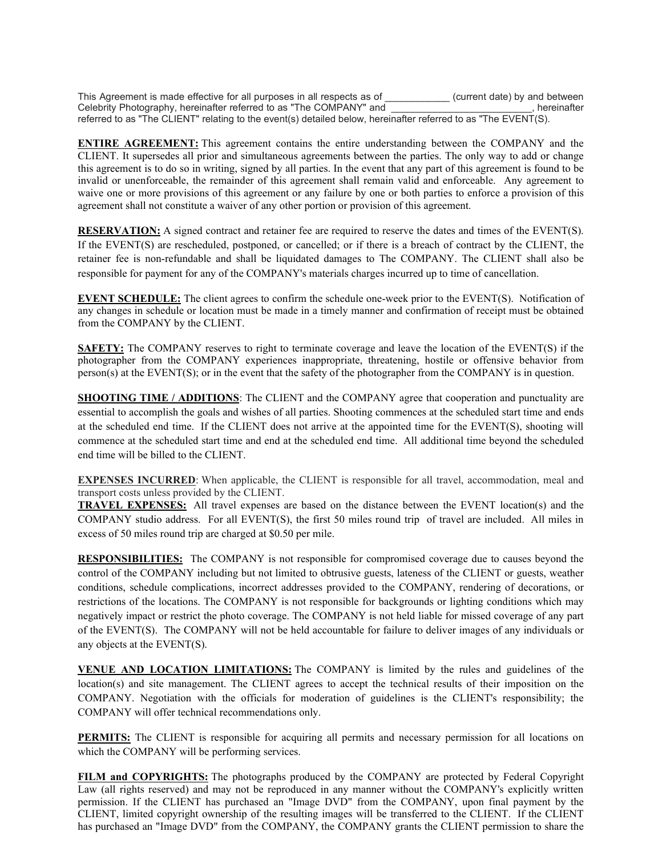This Agreement is made effective for all purposes in all respects as of  $\Box$  (current date) by and between Celebrity Photography, hereinafter referred to as "The COMPANY" and \_\_\_\_\_\_\_\_\_\_\_\_\_\_\_\_\_\_\_\_\_\_\_\_\_\_, hereinafter referred to as "The CLIENT" relating to the event(s) detailed below, hereinafter referred to as "The EVENT(S).

**ENTIRE AGREEMENT:** This agreement contains the entire understanding between the COMPANY and the CLIENT. It supersedes all prior and simultaneous agreements between the parties. The only way to add or change this agreement is to do so in writing, signed by all parties. In the event that any part of this agreement is found to be invalid or unenforceable, the remainder of this agreement shall remain valid and enforceable. Any agreement to waive one or more provisions of this agreement or any failure by one or both parties to enforce a provision of this agreement shall not constitute a waiver of any other portion or provision of this agreement.

**RESERVATION:** A signed contract and retainer fee are required to reserve the dates and times of the EVENT(S). If the EVENT(S) are rescheduled, postponed, or cancelled; or if there is a breach of contract by the CLIENT, the retainer fee is non-refundable and shall be liquidated damages to The COMPANY. The CLIENT shall also be responsible for payment for any of the COMPANY's materials charges incurred up to time of cancellation.

**EVENT SCHEDULE:** The client agrees to confirm the schedule one-week prior to the EVENT(S). Notification of any changes in schedule or location must be made in a timely manner and confirmation of receipt must be obtained from the COMPANY by the CLIENT.

**SAFETY:** The COMPANY reserves to right to terminate coverage and leave the location of the EVENT(S) if the photographer from the COMPANY experiences inappropriate, threatening, hostile or offensive behavior from person(s) at the EVENT(S); or in the event that the safety of the photographer from the COMPANY is in question.

**SHOOTING TIME / ADDITIONS:** The CLIENT and the COMPANY agree that cooperation and punctuality are essential to accomplish the goals and wishes of all parties. Shooting commences at the scheduled start time and ends at the scheduled end time. If the CLIENT does not arrive at the appointed time for the EVENT(S), shooting will commence at the scheduled start time and end at the scheduled end time. All additional time beyond the scheduled end time will be billed to the CLIENT.

**EXPENSES INCURRED**: When applicable, the CLIENT is responsible for all travel, accommodation, meal and transport costs unless provided by the CLIENT.

**TRAVEL EXPENSES:** All travel expenses are based on the distance between the EVENT location(s) and the COMPANY studio address. For all EVENT(S), the first 50 miles round trip of travel are included. All miles in excess of 50 miles round trip are charged at \$0.50 per mile.

**RESPONSIBILITIES:** The COMPANY is not responsible for compromised coverage due to causes beyond the control of the COMPANY including but not limited to obtrusive guests, lateness of the CLIENT or guests, weather conditions, schedule complications, incorrect addresses provided to the COMPANY, rendering of decorations, or restrictions of the locations. The COMPANY is not responsible for backgrounds or lighting conditions which may negatively impact or restrict the photo coverage. The COMPANY is not held liable for missed coverage of any part of the EVENT(S). The COMPANY will not be held accountable for failure to deliver images of any individuals or any objects at the EVENT(S).

**VENUE AND LOCATION LIMITATIONS:** The COMPANY is limited by the rules and guidelines of the location(s) and site management. The CLIENT agrees to accept the technical results of their imposition on the COMPANY. Negotiation with the officials for moderation of guidelines is the CLIENT's responsibility; the COMPANY will offer technical recommendations only.

**PERMITS:** The CLIENT is responsible for acquiring all permits and necessary permission for all locations on which the COMPANY will be performing services.

**FILM and COPYRIGHTS:** The photographs produced by the COMPANY are protected by Federal Copyright Law (all rights reserved) and may not be reproduced in any manner without the COMPANY's explicitly written permission. If the CLIENT has purchased an "Image DVD" from the COMPANY, upon final payment by the CLIENT, limited copyright ownership of the resulting images will be transferred to the CLIENT. If the CLIENT has purchased an "Image DVD" from the COMPANY, the COMPANY grants the CLIENT permission to share the